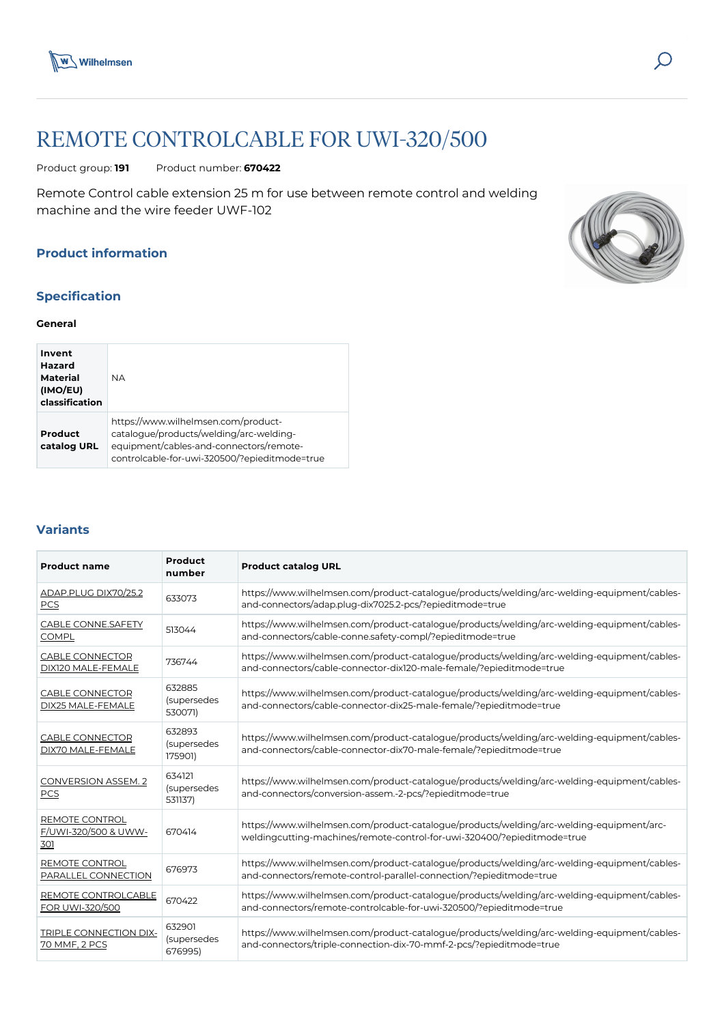



# REMOTE CONTROLCABLE FOR UWI-320/500

Product group: **191** Product number: **670422**

Remote Control cable extension 25 m for use between remote control and welding machine and the wire feeder UWF-102

## **Product information**

## **Specification**

#### **General**

| Invent<br>Hazard<br>Material<br>(IMO/EU)<br>classification | <b>NA</b>                                                                                                                                                                  |
|------------------------------------------------------------|----------------------------------------------------------------------------------------------------------------------------------------------------------------------------|
| Product<br>catalog URL                                     | https://www.wilhelmsen.com/product-<br>catalogue/products/welding/arc-welding-<br>equipment/cables-and-connectors/remote-<br>controlcable-for-uwi-320500/?epieditmode=true |

#### **Variants**

| Product<br><b>Product name</b><br>number      |                                  | <b>Product catalog URL</b>                                                                                                                                          |  |  |  |
|-----------------------------------------------|----------------------------------|---------------------------------------------------------------------------------------------------------------------------------------------------------------------|--|--|--|
| ADAP.PLUG DIX70/25.2<br>PCS                   | 633073                           | https://www.wilhelmsen.com/product-catalogue/products/welding/arc-welding-equipment/cables-<br>and-connectors/adap.plug-dix7025.2-pcs/?epieditmode=true             |  |  |  |
| CABLE CONNE.SAFETY<br><b>COMPL</b>            | 513044                           | https://www.wilhelmsen.com/product-catalogue/products/welding/arc-welding-equipment/cables-<br>and-connectors/cable-conne.safety-compl/?epieditmode=true            |  |  |  |
| CABLE CONNECTOR<br>DIX120 MALE-FEMALE         | 736744                           | https://www.wilhelmsen.com/product-catalogue/products/welding/arc-welding-equipment/cables-<br>and-connectors/cable-connector-dix120-male-female/?epieditmode=true  |  |  |  |
| CABLE CONNECTOR<br>DIX25 MALE-FEMALE          | 632885<br>(supersedes<br>530071) | https://www.wilhelmsen.com/product-catalogue/products/welding/arc-welding-equipment/cables-<br>and-connectors/cable-connector-dix25-male-female/?epieditmode=true   |  |  |  |
| <b>CABLE CONNECTOR</b><br>DIX70 MALE-FEMALE   | 632893<br>(supersedes<br>175901) | https://www.wilhelmsen.com/product-catalogue/products/welding/arc-welding-equipment/cables-<br>and-connectors/cable-connector-dix70-male-female/?epieditmode=true   |  |  |  |
| CONVERSION ASSEM. 2<br><b>PCS</b>             | 634121<br>(supersedes<br>531137) | https://www.wilhelmsen.com/product-catalogue/products/welding/arc-welding-equipment/cables-<br>and-connectors/conversion-assem.-2-pcs/?epieditmode=true             |  |  |  |
| REMOTE CONTROL<br>F/UWI-320/500 & UWW-<br>301 | 670414                           | https://www.wilhelmsen.com/product-catalogue/products/welding/arc-welding-equipment/arc-<br>weldingcutting-machines/remote-control-for-uwi-320400/?epieditmode=true |  |  |  |
| REMOTE CONTROL<br>PARALLEL CONNECTION         | 676973                           | https://www.wilhelmsen.com/product-catalogue/products/welding/arc-welding-equipment/cables-<br>and-connectors/remote-control-parallel-connection/?epieditmode=true  |  |  |  |
| REMOTE CONTROLCABLE<br>FOR UWI-320/500        | 670422                           | https://www.wilhelmsen.com/product-catalogue/products/welding/arc-welding-equipment/cables-<br>and-connectors/remote-controlcable-for-uwi-320500/?epieditmode=true  |  |  |  |
| TRIPLE CONNECTION DIX-<br>70 MMF, 2 PCS       | 632901<br>(supersedes<br>676995) | https://www.wilhelmsen.com/product-catalogue/products/welding/arc-welding-equipment/cables-<br>and-connectors/triple-connection-dix-70-mmf-2-pcs/?epieditmode=true  |  |  |  |